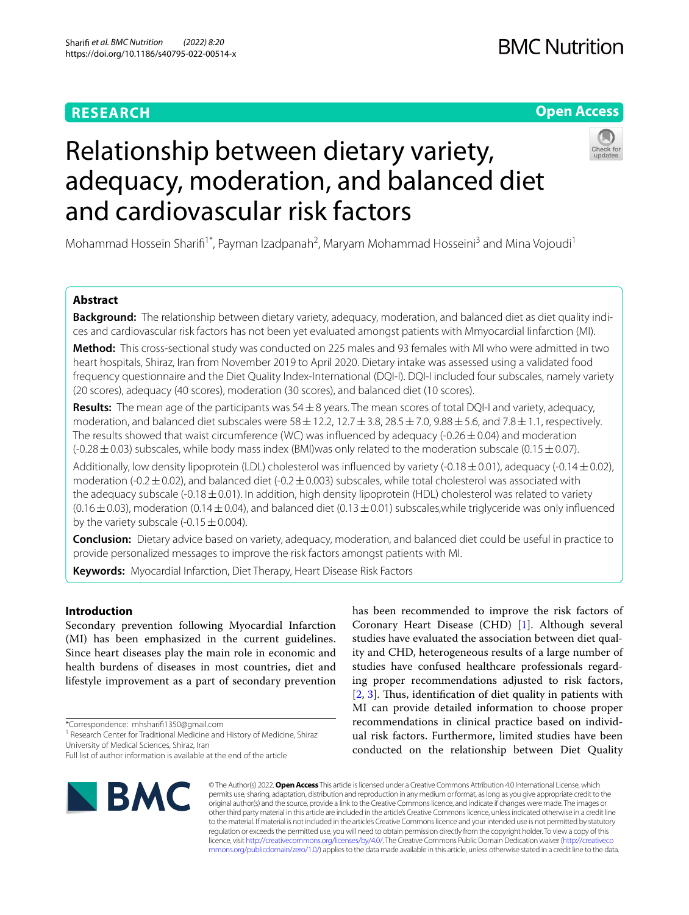# **RESEARCH**

## **Open Access**



# Relationship between dietary variety, adequacy, moderation, and balanced diet and cardiovascular risk factors

Mohammad Hossein Sharifi<sup>1\*</sup>, Payman Izadpanah<sup>2</sup>, Maryam Mohammad Hosseini<sup>3</sup> and Mina Vojoudi<sup>1</sup>

## **Abstract**

**Background:** The relationship between dietary variety, adequacy, moderation, and balanced diet as diet quality indices and cardiovascular risk factors has not been yet evaluated amongst patients with Mmyocardial Iinfarction (MI).

**Method:** This cross-sectional study was conducted on 225 males and 93 females with MI who were admitted in two heart hospitals, Shiraz, Iran from November 2019 to April 2020. Dietary intake was assessed using a validated food frequency questionnaire and the Diet Quality Index-International (DQI-I). DQI-I included four subscales, namely variety (20 scores), adequacy (40 scores), moderation (30 scores), and balanced diet (10 scores).

**Results:** The mean age of the participants was 54±8 years. The mean scores of total DQI-I and variety, adequacy, moderation, and balanced diet subscales were  $58 \pm 12.2$ ,  $12.7 \pm 3.8$ ,  $28.5 \pm 7.0$ ,  $9.88 \pm 5.6$ , and  $7.8 \pm 1.1$ , respectively. The results showed that waist circumference (WC) was influenced by adequacy (-0.26 $\pm$ 0.04) and moderation  $(-0.28 \pm 0.03)$  subscales, while body mass index (BMI)was only related to the moderation subscale (0.15 $\pm$ 0.07).

Additionally, low density lipoprotein (LDL) cholesterol was influenced by variety (-0.18 $\pm$ 0.01), adequacy (-0.14 $\pm$ 0.02), moderation (-0.2 $\pm$ 0.02), and balanced diet (-0.2 $\pm$ 0.003) subscales, while total cholesterol was associated with the adequacy subscale (-0.18 $\pm$ 0.01). In addition, high density lipoprotein (HDL) cholesterol was related to variety  $(0.16\pm0.03)$ , moderation  $(0.14\pm0.04)$ , and balanced diet  $(0.13\pm0.01)$  subscales,while triglyceride was only influenced by the variety subscale (-0.15 $\pm$ 0.004).

**Conclusion:** Dietary advice based on variety, adequacy, moderation, and balanced diet could be useful in practice to provide personalized messages to improve the risk factors amongst patients with MI.

**Keywords:** Myocardial Infarction, Diet Therapy, Heart Disease Risk Factors

## **Introduction**

Secondary prevention following Myocardial Infarction (MI) has been emphasized in the current guidelines. Since heart diseases play the main role in economic and health burdens of diseases in most countries, diet and lifestyle improvement as a part of secondary prevention

\*Correspondence: mhsharif1350@gmail.com

<sup>1</sup> Research Center for Traditional Medicine and History of Medicine, Shiraz University of Medical Sciences, Shiraz, Iran

Full list of author information is available at the end of the article



has been recommended to improve the risk factors of Coronary Heart Disease (CHD) [[1\]](#page-8-0). Although several studies have evaluated the association between diet quality and CHD, heterogeneous results of a large number of studies have confused healthcare professionals regarding proper recommendations adjusted to risk factors,  $[2, 3]$  $[2, 3]$  $[2, 3]$  $[2, 3]$ . Thus, identification of diet quality in patients with MI can provide detailed information to choose proper recommendations in clinical practice based on individual risk factors. Furthermore, limited studies have been conducted on the relationship between Diet Quality

© The Author(s) 2022. **Open Access** This article is licensed under a Creative Commons Attribution 4.0 International License, which permits use, sharing, adaptation, distribution and reproduction in any medium or format, as long as you give appropriate credit to the original author(s) and the source, provide a link to the Creative Commons licence, and indicate if changes were made. The images or other third party material in this article are included in the article's Creative Commons licence, unless indicated otherwise in a credit line to the material. If material is not included in the article's Creative Commons licence and your intended use is not permitted by statutory regulation or exceeds the permitted use, you will need to obtain permission directly from the copyright holder. To view a copy of this licence, visit [http://creativecommons.org/licenses/by/4.0/.](http://creativecommons.org/licenses/by/4.0/) The Creative Commons Public Domain Dedication waiver ([http://creativeco](http://creativecommons.org/publicdomain/zero/1.0/) [mmons.org/publicdomain/zero/1.0/](http://creativecommons.org/publicdomain/zero/1.0/)) applies to the data made available in this article, unless otherwise stated in a credit line to the data.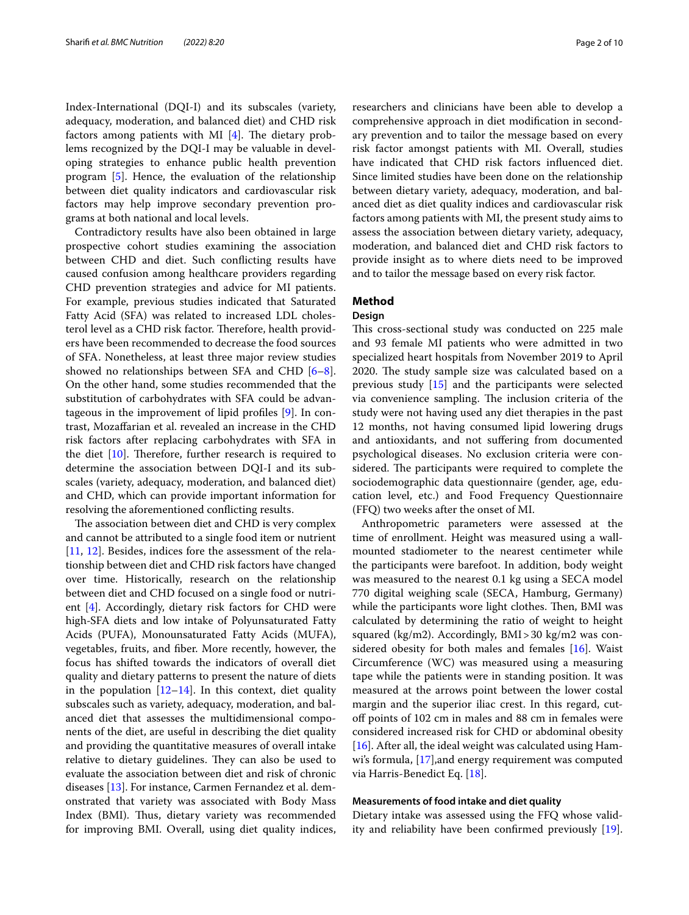Index-International (DQI-I) and its subscales (variety, adequacy, moderation, and balanced diet) and CHD risk factors among patients with MI  $[4]$  $[4]$ . The dietary problems recognized by the DQI-I may be valuable in developing strategies to enhance public health prevention program [[5\]](#page-8-4). Hence, the evaluation of the relationship between diet quality indicators and cardiovascular risk factors may help improve secondary prevention programs at both national and local levels.

Contradictory results have also been obtained in large prospective cohort studies examining the association between CHD and diet. Such conficting results have caused confusion among healthcare providers regarding CHD prevention strategies and advice for MI patients. For example, previous studies indicated that Saturated Fatty Acid (SFA) was related to increased LDL cholesterol level as a CHD risk factor. Therefore, health providers have been recommended to decrease the food sources of SFA. Nonetheless, at least three major review studies showed no relationships between SFA and CHD [\[6](#page-8-5)[–8](#page-8-6)]. On the other hand, some studies recommended that the substitution of carbohydrates with SFA could be advantageous in the improvement of lipid profles [[9](#page-8-7)]. In contrast, Mozafarian et al. revealed an increase in the CHD risk factors after replacing carbohydrates with SFA in the diet  $[10]$  $[10]$ . Therefore, further research is required to determine the association between DQI-I and its subscales (variety, adequacy, moderation, and balanced diet) and CHD, which can provide important information for resolving the aforementioned conficting results.

The association between diet and CHD is very complex and cannot be attributed to a single food item or nutrient [[11,](#page-8-9) [12\]](#page-8-10). Besides, indices fore the assessment of the relationship between diet and CHD risk factors have changed over time. Historically, research on the relationship between diet and CHD focused on a single food or nutrient [[4\]](#page-8-3). Accordingly, dietary risk factors for CHD were high-SFA diets and low intake of Polyunsaturated Fatty Acids (PUFA), Monounsaturated Fatty Acids (MUFA), vegetables, fruits, and fber. More recently, however, the focus has shifted towards the indicators of overall diet quality and dietary patterns to present the nature of diets in the population  $[12-14]$  $[12-14]$  $[12-14]$ . In this context, diet quality subscales such as variety, adequacy, moderation, and balanced diet that assesses the multidimensional components of the diet, are useful in describing the diet quality and providing the quantitative measures of overall intake relative to dietary guidelines. They can also be used to evaluate the association between diet and risk of chronic diseases [\[13](#page-8-12)]. For instance, Carmen Fernandez et al. demonstrated that variety was associated with Body Mass Index (BMI). Thus, dietary variety was recommended for improving BMI. Overall, using diet quality indices,

researchers and clinicians have been able to develop a comprehensive approach in diet modifcation in secondary prevention and to tailor the message based on every risk factor amongst patients with MI. Overall, studies have indicated that CHD risk factors infuenced diet. Since limited studies have been done on the relationship between dietary variety, adequacy, moderation, and balanced diet as diet quality indices and cardiovascular risk factors among patients with MI, the present study aims to assess the association between dietary variety, adequacy, moderation, and balanced diet and CHD risk factors to provide insight as to where diets need to be improved and to tailor the message based on every risk factor.

## **Method**

### **Design**

This cross-sectional study was conducted on 225 male and 93 female MI patients who were admitted in two specialized heart hospitals from November 2019 to April 2020. The study sample size was calculated based on a previous study [[15\]](#page-8-13) and the participants were selected via convenience sampling. The inclusion criteria of the study were not having used any diet therapies in the past 12 months, not having consumed lipid lowering drugs and antioxidants, and not sufering from documented psychological diseases. No exclusion criteria were considered. The participants were required to complete the sociodemographic data questionnaire (gender, age, education level, etc.) and Food Frequency Questionnaire (FFQ) two weeks after the onset of MI.

Anthropometric parameters were assessed at the time of enrollment. Height was measured using a wallmounted stadiometer to the nearest centimeter while the participants were barefoot. In addition, body weight was measured to the nearest 0.1 kg using a SECA model 770 digital weighing scale (SECA, Hamburg, Germany) while the participants wore light clothes. Then, BMI was calculated by determining the ratio of weight to height squared (kg/m2). Accordingly, BMI>30 kg/m2 was considered obesity for both males and females [[16\]](#page-8-14). Waist Circumference (WC) was measured using a measuring tape while the patients were in standing position. It was measured at the arrows point between the lower costal margin and the superior iliac crest. In this regard, cutof points of 102 cm in males and 88 cm in females were considered increased risk for CHD or abdominal obesity [[16\]](#page-8-14). After all, the ideal weight was calculated using Hamwi's formula, [[17\]](#page-8-15),and energy requirement was computed via Harris-Benedict Eq. [[18\]](#page-8-16).

#### **Measurements of food intake and diet quality**

Dietary intake was assessed using the FFQ whose validity and reliability have been confrmed previously [\[19](#page-8-17)].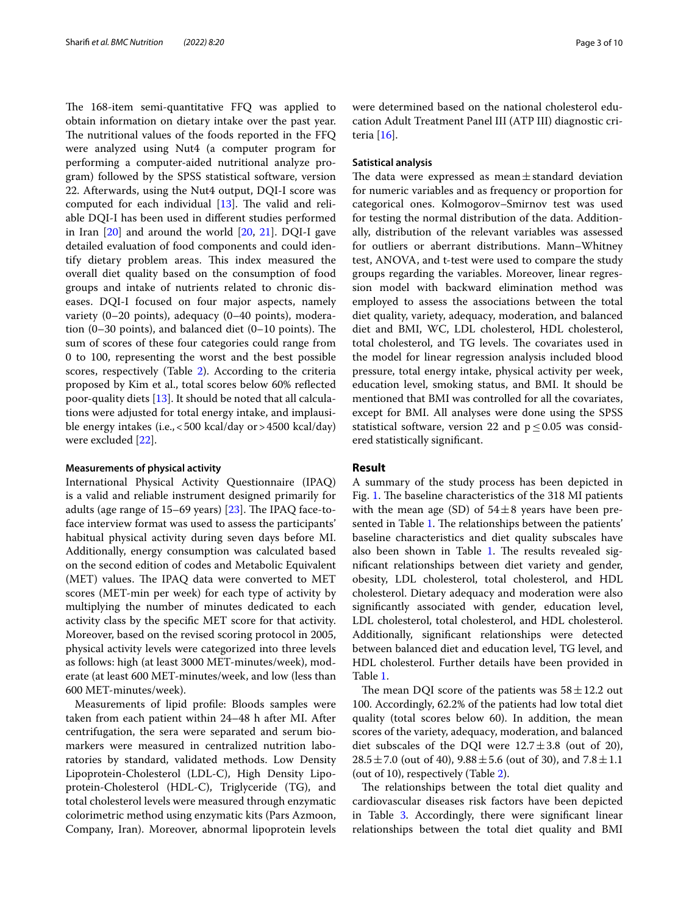The 168-item semi-quantitative FFQ was applied to obtain information on dietary intake over the past year. The nutritional values of the foods reported in the FFQ were analyzed using Nut4 (a computer program for performing a computer-aided nutritional analyze program) followed by the SPSS statistical software, version 22. Afterwards, using the Nut4 output, DQI-I score was computed for each individual  $[13]$  $[13]$ . The valid and reliable DQI-I has been used in diferent studies performed in Iran [\[20](#page-8-18)] and around the world [[20](#page-8-18), [21](#page-9-0)]. DQI-I gave detailed evaluation of food components and could identify dietary problem areas. This index measured the overall diet quality based on the consumption of food groups and intake of nutrients related to chronic diseases. DQI-I focused on four major aspects, namely variety (0–20 points), adequacy (0–40 points), moderation  $(0-30 \text{ points})$ , and balanced diet  $(0-10 \text{ points})$ . The sum of scores of these four categories could range from 0 to 100, representing the worst and the best possible scores, respectively (Table [2\)](#page-5-0). According to the criteria proposed by Kim et al., total scores below 60% refected poor-quality diets [[13\]](#page-8-12). It should be noted that all calculations were adjusted for total energy intake, and implausible energy intakes (i.e.,<500 kcal/day or>4500 kcal/day) were excluded [\[22](#page-9-1)].

#### **Measurements of physical activity**

International Physical Activity Questionnaire (IPAQ) is a valid and reliable instrument designed primarily for adults (age range of  $15-69$  years) [\[23](#page-9-2)]. The IPAQ face-toface interview format was used to assess the participants' habitual physical activity during seven days before MI. Additionally, energy consumption was calculated based on the second edition of codes and Metabolic Equivalent (MET) values. The IPAQ data were converted to MET scores (MET-min per week) for each type of activity by multiplying the number of minutes dedicated to each activity class by the specifc MET score for that activity. Moreover, based on the revised scoring protocol in 2005, physical activity levels were categorized into three levels as follows: high (at least 3000 MET-minutes/week), moderate (at least 600 MET-minutes/week, and low (less than 600 MET-minutes/week).

Measurements of lipid profle: Bloods samples were taken from each patient within 24–48 h after MI. After centrifugation, the sera were separated and serum biomarkers were measured in centralized nutrition laboratories by standard, validated methods. Low Density Lipoprotein-Cholesterol (LDL-C), High Density Lipoprotein-Cholesterol (HDL-C), Triglyceride (TG), and total cholesterol levels were measured through enzymatic colorimetric method using enzymatic kits (Pars Azmoon, Company, Iran). Moreover, abnormal lipoprotein levels were determined based on the national cholesterol education Adult Treatment Panel III (ATP III) diagnostic criteria [[16\]](#page-8-14).

#### **Satistical analysis**

The data were expressed as mean $\pm$ standard deviation for numeric variables and as frequency or proportion for categorical ones. Kolmogorov–Smirnov test was used for testing the normal distribution of the data. Additionally, distribution of the relevant variables was assessed for outliers or aberrant distributions. Mann–Whitney test, ANOVA, and t-test were used to compare the study groups regarding the variables. Moreover, linear regression model with backward elimination method was employed to assess the associations between the total diet quality, variety, adequacy, moderation, and balanced diet and BMI, WC, LDL cholesterol, HDL cholesterol, total cholesterol, and TG levels. The covariates used in the model for linear regression analysis included blood pressure, total energy intake, physical activity per week, education level, smoking status, and BMI. It should be mentioned that BMI was controlled for all the covariates, except for BMI. All analyses were done using the SPSS statistical software, version 22 and  $p \leq 0.05$  was considered statistically signifcant.

#### **Result**

A summary of the study process has been depicted in Fig. [1](#page-3-0). The baseline characteristics of the 318 MI patients with the mean age (SD) of  $54\pm8$  years have been pre-sented in Table [1](#page-4-0). The relationships between the patients' baseline characteristics and diet quality subscales have also been shown in Table [1](#page-4-0). The results revealed signifcant relationships between diet variety and gender, obesity, LDL cholesterol, total cholesterol, and HDL cholesterol. Dietary adequacy and moderation were also signifcantly associated with gender, education level, LDL cholesterol, total cholesterol, and HDL cholesterol. Additionally, signifcant relationships were detected between balanced diet and education level, TG level, and HDL cholesterol. Further details have been provided in Table [1](#page-4-0).

The mean DQI score of the patients was  $58 \pm 12.2$  out 100. Accordingly, 62.2% of the patients had low total diet quality (total scores below 60). In addition, the mean scores of the variety, adequacy, moderation, and balanced diet subscales of the DQI were  $12.7 \pm 3.8$  (out of 20),  $28.5 \pm 7.0$  (out of 40),  $9.88 \pm 5.6$  (out of 30), and  $7.8 \pm 1.1$ (out of 10), respectively (Table [2](#page-5-0)).

The relationships between the total diet quality and cardiovascular diseases risk factors have been depicted in Table [3.](#page-6-0) Accordingly, there were signifcant linear relationships between the total diet quality and BMI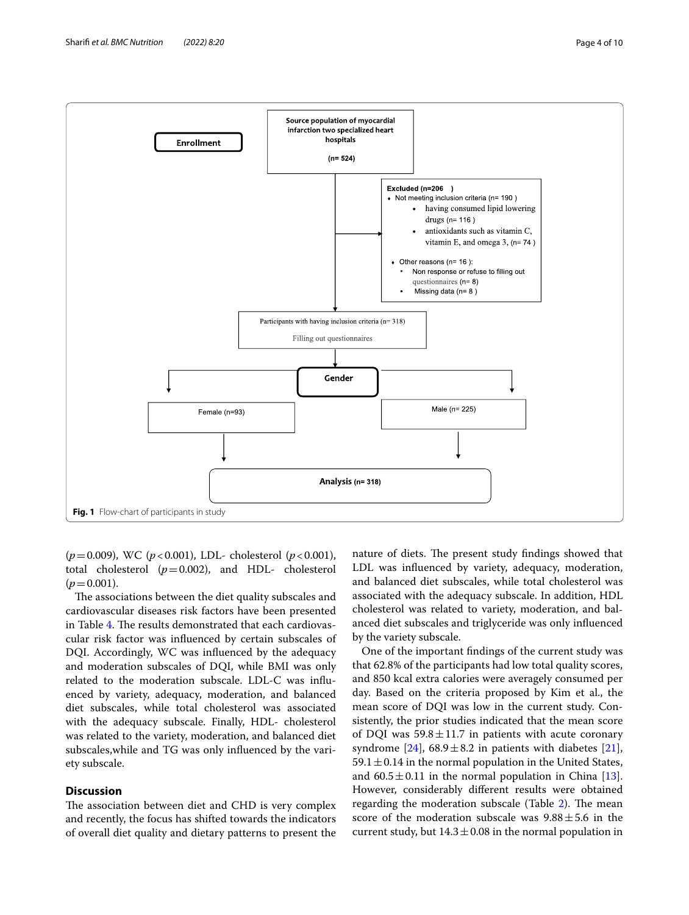

<span id="page-3-0"></span>(*p*=0.009), WC (*p*<0.001), LDL- cholesterol (*p*<0.001), total cholesterol  $(p=0.002)$ , and HDL- cholesterol  $(p=0.001)$ .

The associations between the diet quality subscales and cardiovascular diseases risk factors have been presented in Table [4.](#page-7-0) The results demonstrated that each cardiovascular risk factor was infuenced by certain subscales of DQI. Accordingly, WC was infuenced by the adequacy and moderation subscales of DQI, while BMI was only related to the moderation subscale. LDL-C was infuenced by variety, adequacy, moderation, and balanced diet subscales, while total cholesterol was associated with the adequacy subscale. Finally, HDL- cholesterol was related to the variety, moderation, and balanced diet subscales,while and TG was only infuenced by the variety subscale.

## **Discussion**

The association between diet and CHD is very complex and recently, the focus has shifted towards the indicators of overall diet quality and dietary patterns to present the

nature of diets. The present study findings showed that LDL was infuenced by variety, adequacy, moderation, and balanced diet subscales, while total cholesterol was associated with the adequacy subscale. In addition, HDL cholesterol was related to variety, moderation, and balanced diet subscales and triglyceride was only infuenced by the variety subscale.

One of the important fndings of the current study was that 62.8% of the participants had low total quality scores, and 850 kcal extra calories were averagely consumed per day. Based on the criteria proposed by Kim et al., the mean score of DQI was low in the current study. Consistently, the prior studies indicated that the mean score of DQI was  $59.8 \pm 11.7$  in patients with acute coronary syndrome [\[24\]](#page-9-3),  $68.9 \pm 8.2$  in patients with diabetes [\[21](#page-9-0)],  $59.1 \pm 0.14$  in the normal population in the United States, and  $60.5 \pm 0.11$  in the normal population in China [\[13](#page-8-12)]. However, considerably diferent results were obtained regarding the moderation subscale (Table [2\)](#page-5-0). The mean score of the moderation subscale was  $9.88 \pm 5.6$  in the current study, but  $14.3 \pm 0.08$  in the normal population in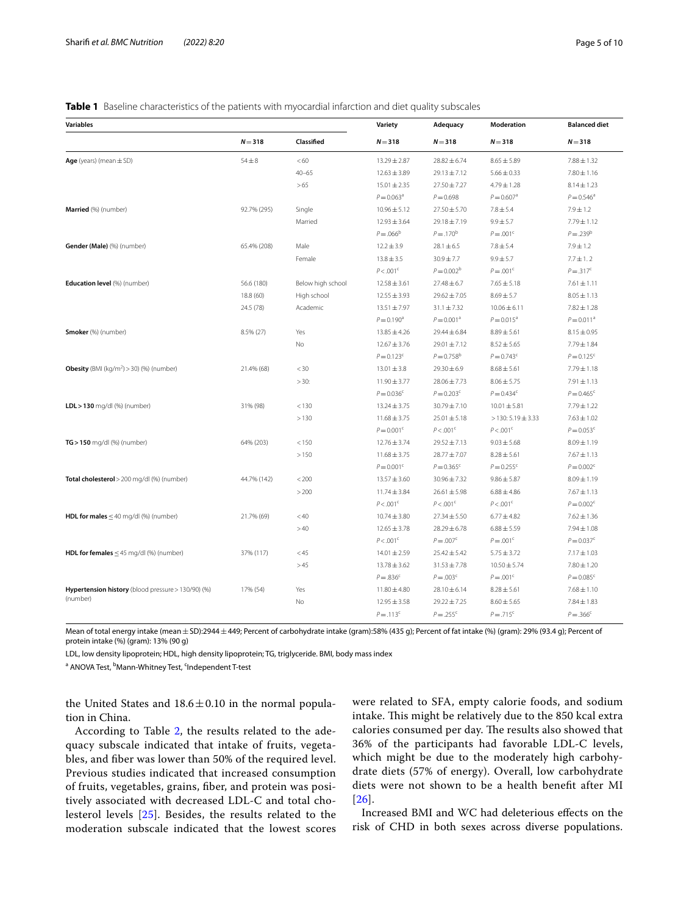<span id="page-4-0"></span>

| <b>Variables</b>                                            |             |                   | Variety             | Adequacy                 | Moderation               | <b>Balanced diet</b>     |
|-------------------------------------------------------------|-------------|-------------------|---------------------|--------------------------|--------------------------|--------------------------|
|                                                             | $N = 318$   | Classified        | $N = 318$           | $N = 318$                | $N = 318$                | $N = 318$                |
| Age (years) (mean $\pm$ SD)                                 | $54 \pm 8$  | <60               | 13.29 ± 2.87        | $28.82 \pm 6.74$         | $8.65 \pm 5.89$          | $7.88 \pm 1.32$          |
|                                                             |             | $40 - 65$         | $12.63 \pm 3.89$    | $29.13 \pm 7.12$         | $5.66 \pm 0.33$          | $7.80 \pm 1.16$          |
|                                                             |             | >65               | $15.01 \pm 2.35$    | $27.50 \pm 7.27$         | $4.79 \pm 1.28$          | $8.14 \pm 1.23$          |
|                                                             |             |                   | $P = 0.063^a$       | $P = 0.698$              | $P = 0.607$ <sup>a</sup> | $P = 0.546^{\circ}$      |
| Married (%) (number)                                        | 92.7% (295) | Single            | $10.96 \pm 5.12$    | $27.50 \pm 5.70$         | $7.8 \pm 5.4$            | $7.9 \pm 1.2$            |
|                                                             |             | Married           | $12.93 \pm 3.64$    | $29.18 \pm 7.19$         | $9.9 \pm 5.7$            | $7.79 \pm 1.12$          |
|                                                             |             |                   | $P = 0.066^b$       | $P = .170^{b}$           | $P = .001^{\circ}$       | $P = .239^b$             |
| Gender (Male) (%) (number)                                  | 65.4% (208) | Male              | $12.2 \pm 3.9$      | $28.1 \pm 6.5$           | $7.8 \pm 5.4$            | $7.9 \pm 1.2$            |
|                                                             |             | Female            | $13.8 \pm 3.5$      | $30.9 \pm 7.7$           | $9.9 \pm 5.7$            | $7.7 \pm 1.2$            |
|                                                             |             |                   | $P < .001^c$        | $P = 0.002^b$            | $P = .001c$              | $P = .317^c$             |
| Education level (%) (number)                                | 56.6 (180)  | Below high school | $12.58 \pm 3.61$    | $27.48 \pm 6.7$          | $7.65 \pm 5.18$          | $7.61 \pm 1.11$          |
|                                                             | 18.8 (60)   | High school       | $12.55 \pm 3.93$    | $29.62 \pm 7.05$         | $8.69 \pm 5.7$           | $8.05 \pm 1.13$          |
|                                                             | 24.5 (78)   | Academic          | $13.51 \pm 7.97$    | $31.1 \pm 7.32$          | $10.06 \pm 6.11$         | $7.82 \pm 1.28$          |
|                                                             |             |                   | $P = 0.190^a$       | $P = 0.001$ <sup>a</sup> | $P = 0.015$ <sup>a</sup> | $P = 0.011$ <sup>a</sup> |
| Smoker (%) (number)                                         | 8.5% (27)   | Yes               | $13.85 \pm 4.26$    | $29.44 \pm 6.84$         | $8.89 \pm 5.61$          | $8.15 \pm 0.95$          |
|                                                             |             | No                | $12.67 \pm 3.76$    | $29.01 \pm 7.12$         | $8.52 \pm 5.65$          | 7.79±1.84                |
|                                                             |             |                   | $P = 0.123^c$       | $P = 0.758^b$            | $P = 0.743c$             | $P = 0.125c$             |
| <b>Obesity</b> (BMI (kg/m <sup>2</sup> ) > 30) (%) (number) | 21.4% (68)  | $<$ 30            | $13.01 \pm 3.8$     | $29.30 \pm 6.9$          | $8.68 \pm 5.61$          | 7.79±1.18                |
|                                                             |             | $>30$ :           | $11.90 \pm 3.77$    | $28.06 \pm 7.73$         | $8.06 \pm 5.75$          | $7.91 \pm 1.13$          |
|                                                             |             |                   | $P = 0.036^c$       | $P = 0.203^c$            | $P = 0.434^c$            | $P = 0.465^{\circ}$      |
| LDL > 130 mg/dl (%) (number)                                | 31% (98)    | < 130             | $13.24 \pm 3.75$    | 30.79 ± 7.10             | $10.01 \pm 5.81$         | 7.79±1.22                |
|                                                             |             | >130              | $11.68 \pm 3.75$    | $25.01 \pm 5.18$         | $>130:5.19 \pm 3.33$     | $7.63 \pm 1.02$          |
|                                                             |             |                   | $P = 0.001^{\circ}$ | $P < .001^c$             | P < .001 <sup>c</sup>    | $P = 0.053^c$            |
| $TG > 150$ mg/dl $(% )$ (number)                            | 64% (203)   | < 150             | $12.76 \pm 3.74$    | $29.52 \pm 7.13$         | $9.03 \pm 5.68$          | $8.09 \pm 1.19$          |
|                                                             |             | >150              | $11.68 \pm 3.75$    | 28.77 ± 7.07             | $8.28 \pm 5.61$          | $7.67 \pm 1.13$          |
|                                                             |             |                   | $P = 0.001^c$       | $P = 0.365^c$            | $P = 0.255^c$            | $P = 0.002^c$            |
| Total cholesterol > 200 mg/dl (%) (number)                  | 44.7% (142) | < 200             | $13.57 \pm 3.60$    | $30.96 \pm 7.32$         | $9.86 \pm 5.87$          | $8.09 \pm 1.19$          |
|                                                             |             | >200              | $11.74 \pm 3.84$    | $26.61 \pm 5.98$         | $6.88 \pm 4.86$          | $7.67 \pm 1.13$          |
|                                                             |             |                   | $P < .001^c$        | $P < .001^c$             | P < .001 <sup>c</sup>    | $P = 0.002^c$            |
| HDL for males $\leq$ 40 mg/dl (%) (number)                  | 21.7% (69)  | < 40              | $10.74 \pm 3.80$    | $27.34 \pm 5.50$         | $6.77 \pm 4.82$          | $7.62 \pm 1.36$          |
|                                                             |             | >40               | $12.65 \pm 3.78$    | $28.29 \pm 6.78$         | $6.88 \pm 5.59$          | $7.94 \pm 1.08$          |
|                                                             |             |                   | $P < .001^c$        | $P = 0.007c$             | $P = .001c$              | $P = 0.037c$             |
| <b>HDL for females</b> $\leq$ 45 mg/dl (%) (number)         | 37% (117)   | $<$ 45            | $14.01 \pm 2.59$    | $25.42 \pm 5.42$         | $5.75 \pm 3.72$          | $7.17 \pm 1.03$          |
|                                                             |             | >45               | $13.78 \pm 3.62$    | $31.53 \pm 7.78$         | $10.50 \pm 5.74$         | $7.80 \pm 1.20$          |
|                                                             |             |                   | $P = .836^c$        | $P = 0.003^c$            | $P = .001c$              | $P = 0.085^{\circ}$      |
| Hypertension history (blood pressure > 130/90) (%)          | 17% (54)    | Yes               | $11.80 \pm 4.80$    | $28.10 \pm 6.14$         | $8.28 \pm 5.61$          | $7.68 \pm 1.10$          |
| (number)                                                    |             | No                | $12.95 \pm 3.58$    | $29.22 \pm 7.25$         | $8.60 \pm 5.65$          | $7.84 \pm 1.83$          |
|                                                             |             |                   | $P = .113^c$        | $P = .255^{c}$           | $P = .715^{c}$           | $P = .366^c$             |

Mean of total energy intake (mean ± SD):2944 ± 449; Percent of carbohydrate intake (gram):58% (435 g); Percent of fat intake (%) (gram): 29% (93.4 g); Percent of protein intake (%) (gram): 13% (90 g)

LDL, low density lipoprotein; HDL, high density lipoprotein; TG, triglyceride. BMI, body mass index

<sup>a</sup> ANOVA Test, <sup>b</sup>Mann-Whitney Test, <sup>c</sup>Independent T-test

the United States and  $18.6 \pm 0.10$  in the normal population in China.

According to Table [2,](#page-5-0) the results related to the adequacy subscale indicated that intake of fruits, vegetables, and fber was lower than 50% of the required level. Previous studies indicated that increased consumption of fruits, vegetables, grains, fber, and protein was positively associated with decreased LDL-C and total cholesterol levels [[25\]](#page-9-4). Besides, the results related to the moderation subscale indicated that the lowest scores were related to SFA, empty calorie foods, and sodium intake. This might be relatively due to the 850 kcal extra calories consumed per day. The results also showed that 36% of the participants had favorable LDL-C levels, which might be due to the moderately high carbohydrate diets (57% of energy). Overall, low carbohydrate diets were not shown to be a health beneft after MI [[26](#page-9-5)].

Increased BMI and WC had deleterious efects on the risk of CHD in both sexes across diverse populations.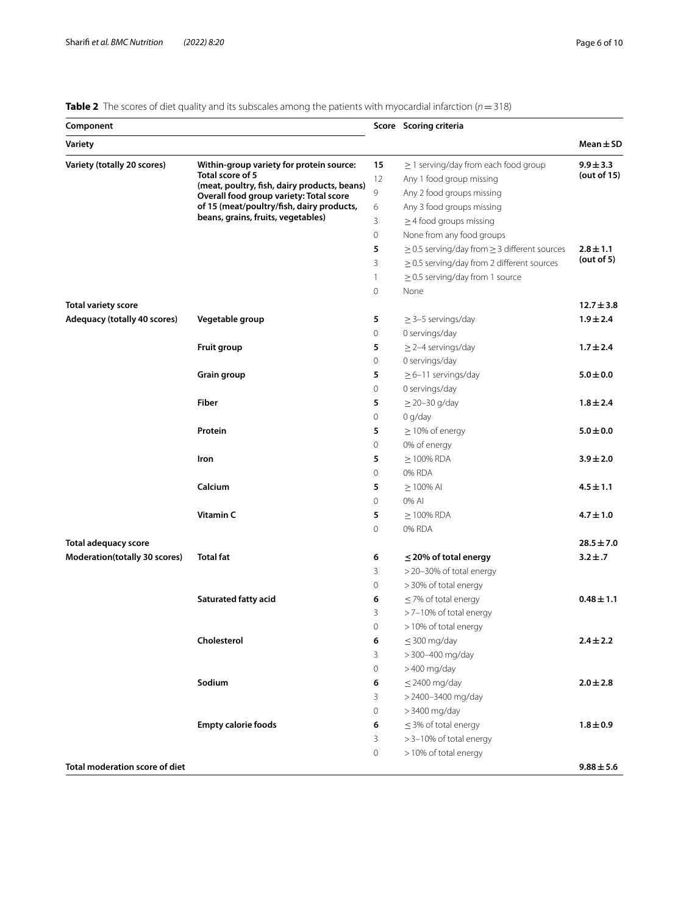<span id="page-5-0"></span>**Table 2** The scores of diet quality and its subscales among the patients with myocardial infarction (*n*=318)

| Component                             |                                                                                         |                | Score Scoring criteria                                 |                |
|---------------------------------------|-----------------------------------------------------------------------------------------|----------------|--------------------------------------------------------|----------------|
| Variety                               |                                                                                         |                |                                                        | $Mean \pm SD$  |
| Variety (totally 20 scores)           | Within-group variety for protein source:                                                | 15             | $\geq$ 1 serving/day from each food group              | $9.9 \pm 3.3$  |
|                                       | Total score of 5                                                                        | 12             | Any 1 food group missing                               | (out of 15)    |
|                                       | (meat, poultry, fish, dairy products, beans)<br>Overall food group variety: Total score | 9              | Any 2 food groups missing                              |                |
|                                       | of 15 (meat/poultry/fish, dairy products,                                               | 6              | Any 3 food groups missing                              |                |
|                                       | beans, grains, fruits, vegetables)                                                      | 3              | $\geq$ 4 food groups missing                           |                |
|                                       |                                                                                         | $\mathbf 0$    | None from any food groups                              |                |
|                                       |                                                                                         | 5              | $\geq$ 0.5 serving/day from $\geq$ 3 different sources | $2.8 \pm 1.1$  |
|                                       |                                                                                         | 3              | $\geq$ 0.5 serving/day from 2 different sources        | (out of 5)     |
|                                       |                                                                                         | $\mathbf{1}$   | $\geq$ 0.5 serving/day from 1 source                   |                |
|                                       |                                                                                         | 0              | None                                                   |                |
| <b>Total variety score</b>            |                                                                                         |                |                                                        | $12.7 \pm 3.8$ |
| Adequacy (totally 40 scores)          | Vegetable group                                                                         | 5              | $\geq$ 3-5 servings/day                                | $1.9 \pm 2.4$  |
|                                       |                                                                                         | 0              | 0 servings/day                                         |                |
|                                       | Fruit group                                                                             | 5              | $\geq$ 2-4 servings/day                                | $1.7 \pm 2.4$  |
|                                       |                                                                                         | 0              | 0 servings/day                                         |                |
|                                       | Grain group                                                                             | 5              | $\geq$ 6-11 servings/day                               | $5.0 \pm 0.0$  |
|                                       |                                                                                         | 0              | 0 servings/day                                         |                |
|                                       | Fiber                                                                                   | 5              | $\geq$ 20-30 g/day                                     | $1.8 \pm 2.4$  |
|                                       |                                                                                         | 0              | 0 q/day                                                |                |
|                                       | Protein                                                                                 | 5              | $\geq$ 10% of energy                                   | $5.0 \pm 0.0$  |
|                                       |                                                                                         | 0              | 0% of energy                                           |                |
|                                       | Iron                                                                                    | 5              | $\geq$ 100% RDA                                        | $3.9 \pm 2.0$  |
|                                       |                                                                                         | $\mathbf 0$    | 0% RDA                                                 |                |
|                                       | Calcium                                                                                 | 5              | $\geq$ 100% AI                                         | $4.5 \pm 1.1$  |
|                                       |                                                                                         | 0              | 0% AI                                                  |                |
|                                       | Vitamin <sub>C</sub>                                                                    | 5              | $\geq$ 100% RDA                                        | $4.7 \pm 1.0$  |
|                                       |                                                                                         | 0              | 0% RDA                                                 |                |
| <b>Total adequacy score</b>           |                                                                                         |                |                                                        | $28.5 \pm 7.0$ |
| Moderation(totally 30 scores)         | <b>Total fat</b>                                                                        | 6              | $\leq$ 20% of total energy                             | $3.2 \pm .7$   |
|                                       |                                                                                         | 3              | >20-30% of total energy                                |                |
|                                       |                                                                                         | 0              | > 30% of total energy                                  |                |
|                                       | <b>Saturated fatty acid</b>                                                             | 6              | $\leq$ 7% of total energy                              | $0.48 \pm 1.1$ |
|                                       |                                                                                         | 3              | >7-10% of total energy                                 |                |
|                                       |                                                                                         | $\overline{O}$ | >10% of total energy                                   |                |
|                                       | Cholesterol                                                                             | 6              | $\leq$ 300 mg/day                                      | $2.4 \pm 2.2$  |
|                                       |                                                                                         | 3              | > 300-400 mg/day                                       |                |
|                                       |                                                                                         | 0              | >400 mg/day                                            |                |
|                                       | Sodium                                                                                  | 6              | $\leq$ 2400 mg/day                                     | $2.0 \pm 2.8$  |
|                                       |                                                                                         | 3              | > 2400-3400 mg/day                                     |                |
|                                       |                                                                                         | 0              | > 3400 mg/day                                          |                |
|                                       | <b>Empty calorie foods</b>                                                              | 6              | $\leq$ 3% of total energy                              | $1.8 \pm 0.9$  |
|                                       |                                                                                         | 3              | >3-10% of total energy                                 |                |
|                                       |                                                                                         | 0              | >10% of total energy                                   |                |
| <b>Total moderation score of diet</b> |                                                                                         |                |                                                        | $9.88 \pm 5.6$ |
|                                       |                                                                                         |                |                                                        |                |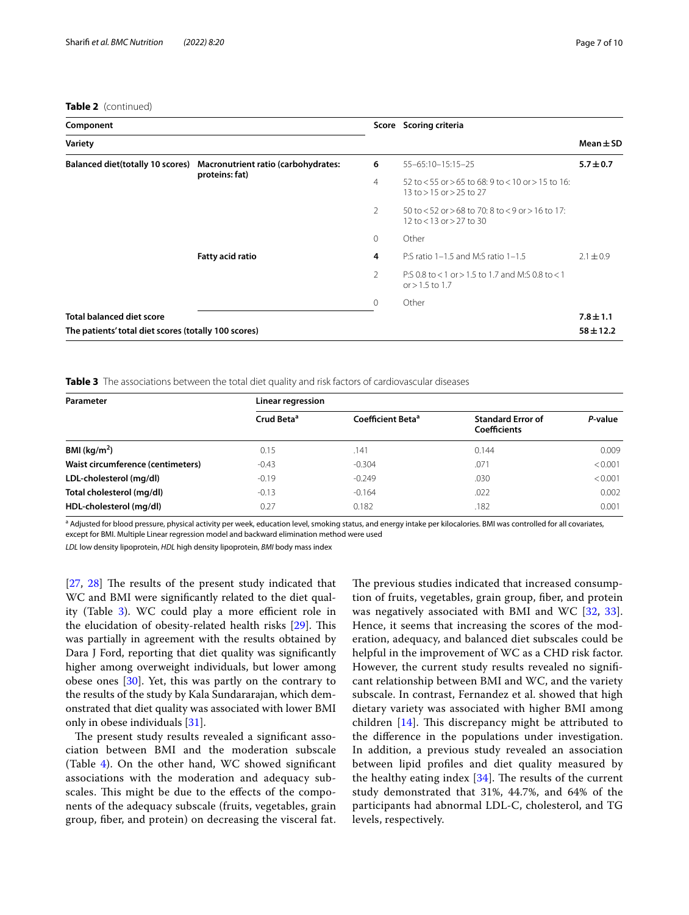#### **Table 2** (continued)

| Component                                            |                                     |                | Score Scoring criteria                                                                      |               |
|------------------------------------------------------|-------------------------------------|----------------|---------------------------------------------------------------------------------------------|---------------|
| Variety                                              |                                     |                |                                                                                             | $Mean \pm SD$ |
| <b>Balanced diet(totally 10 scores)</b>              | Macronutrient ratio (carbohydrates: | 6              | 55-65:10-15:15-25                                                                           | $5.7 \pm 0.7$ |
|                                                      | proteins: fat)                      | $\overline{4}$ | 52 to $<$ 55 or $>$ 65 to 68: 9 to $<$ 10 or $>$ 15 to 16:<br>13 to > 15 or > 25 to 27      |               |
|                                                      |                                     | $\overline{2}$ | $50$ to $52$ or $>68$ to $70:8$ to $< 9$ or $> 16$ to $17:$<br>12 to $<$ 13 or $>$ 27 to 30 |               |
|                                                      |                                     | $\circ$        | Other                                                                                       |               |
|                                                      | Fatty acid ratio                    | 4              | P:S ratio $1-1.5$ and M:S ratio $1-1.5$                                                     | $2.1 \pm 0.9$ |
|                                                      |                                     | 2              | P:S 0.8 to < 1 or > 1.5 to 1.7 and M:S 0.8 to < 1<br>or $> 1.5$ to 1.7                      |               |
|                                                      |                                     | $\Omega$       | Other                                                                                       |               |
| <b>Total balanced diet score</b>                     |                                     |                |                                                                                             | $7.8 \pm 1.1$ |
| The patients' total diet scores (totally 100 scores) |                                     |                |                                                                                             | $58 \pm 12.2$ |

<span id="page-6-0"></span>**Table 3** The associations between the total diet quality and risk factors of cardiovascular diseases

| Parameter                         | Linear regression      |                               |                                                 |         |
|-----------------------------------|------------------------|-------------------------------|-------------------------------------------------|---------|
|                                   | Crud Beta <sup>a</sup> | Coefficient Beta <sup>a</sup> | <b>Standard Error of</b><br><b>Coefficients</b> | P-value |
| BMI ( $kg/m2$ )                   | 0.15                   | .141                          | 0.144                                           | 0.009   |
| Waist circumference (centimeters) | $-0.43$                | $-0.304$                      | .071                                            | < 0.001 |
| LDL-cholesterol (mg/dl)           | $-0.19$                | $-0.249$                      | .030                                            | < 0.001 |
| Total cholesterol (mg/dl)         | $-0.13$                | $-0.164$                      | .022                                            | 0.002   |
| HDL-cholesterol (mg/dl)           | 0.27                   | 0.182                         | .182                                            | 0.001   |

<sup>a</sup> Adjusted for blood pressure, physical activity per week, education level, smoking status, and energy intake per kilocalories. BMI was controlled for all covariates, except for BMI. Multiple Linear regression model and backward elimination method were used

*LDL* low density lipoprotein, *HDL* high density lipoprotein, *BMI* body mass index

 $[27, 28]$  $[27, 28]$  $[27, 28]$  $[27, 28]$  The results of the present study indicated that WC and BMI were signifcantly related to the diet qual-ity (Table [3](#page-6-0)). WC could play a more efficient role in the elucidation of obesity-related health risks  $[29]$  $[29]$ . This was partially in agreement with the results obtained by Dara J Ford, reporting that diet quality was signifcantly higher among overweight individuals, but lower among obese ones [\[30](#page-9-9)]. Yet, this was partly on the contrary to the results of the study by Kala Sundararajan, which demonstrated that diet quality was associated with lower BMI only in obese individuals [[31\]](#page-9-10).

The present study results revealed a significant association between BMI and the moderation subscale (Table [4\)](#page-7-0). On the other hand, WC showed signifcant associations with the moderation and adequacy subscales. This might be due to the effects of the components of the adequacy subscale (fruits, vegetables, grain group, fber, and protein) on decreasing the visceral fat. The previous studies indicated that increased consumption of fruits, vegetables, grain group, fber, and protein was negatively associated with BMI and WC [[32,](#page-9-11) [33](#page-9-12)]. Hence, it seems that increasing the scores of the moderation, adequacy, and balanced diet subscales could be helpful in the improvement of WC as a CHD risk factor. However, the current study results revealed no signifcant relationship between BMI and WC, and the variety subscale. In contrast, Fernandez et al. showed that high dietary variety was associated with higher BMI among children  $[14]$  $[14]$ . This discrepancy might be attributed to the diference in the populations under investigation. In addition, a previous study revealed an association between lipid profles and diet quality measured by the healthy eating index  $[34]$  $[34]$ . The results of the current study demonstrated that 31%, 44.7%, and 64% of the participants had abnormal LDL-C, cholesterol, and TG levels, respectively.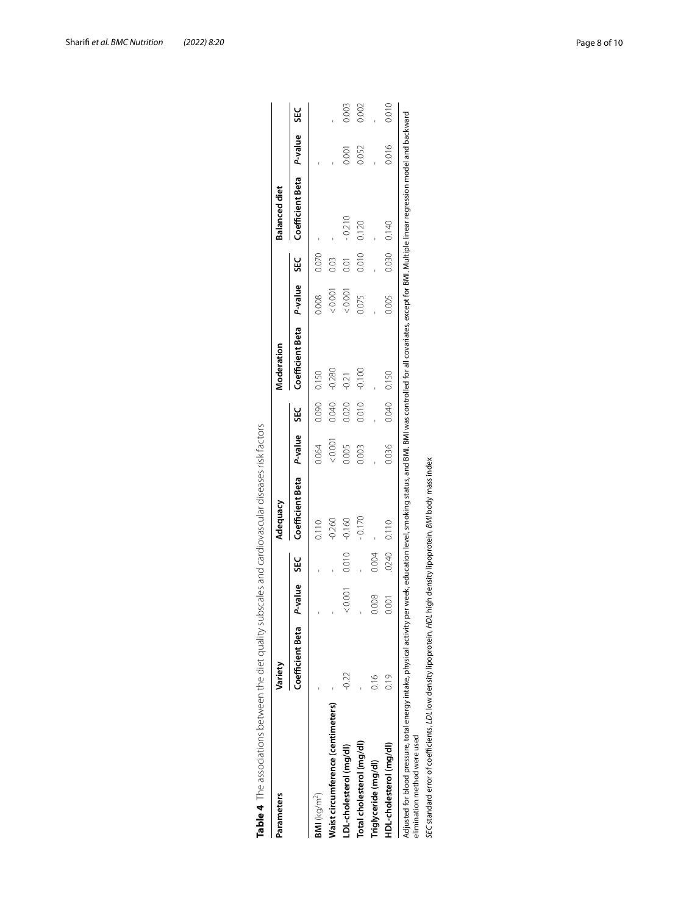| Parameters                        | Variety          |         |       | Adequacy         |         |            | Moderation       |         |             | Balanced diet    |         |       |
|-----------------------------------|------------------|---------|-------|------------------|---------|------------|------------------|---------|-------------|------------------|---------|-------|
|                                   | Coefficient Beta | P-value | š     | Coefficient Beta | P-value | <b>SEC</b> | Coefficient Beta | P-value | 33          | Coefficient Beta | P-value | š     |
| $BMI$ (kg/m <sup>2</sup> )        |                  |         |       | 0.110            | 0.064   | 0.090      | 0.150            | 0.008   | 0.070       |                  |         |       |
| Maist circumference (centimeters) |                  |         |       | $-0.260$         | 0.001   | 0.040      | $-0.280$         | 0.001   | 0.03        |                  |         |       |
| LDL-cholesterol (mg/dl)           | (0.07)           | 0.001   | 0.010 | $-0.160$         | 0.005   | 0.020      | $-0.21$          | 0.001   | 0.01        | $-0.210$         | 0.001   | 0.003 |
| Total cholesterol (mg/dl)         |                  |         |       | $-0.170$         | 0.003   | 0.010      | $-0.100$         | 0.075   | 0.010       | 0.120            | 0.052   | 0.002 |
| Triglyceride (mg/dl)              | 0.16             | 0.008   | 0.004 |                  |         |            |                  |         |             |                  |         |       |
| HDL-cholesterol (mg/dl)           | 0.19             | 0.001   | 0240  | 0.110            | 0.036   |            | 0.040 0.150      | 0.005   | 0.030 0.140 |                  | 0.016   | 0.010 |

<span id="page-7-0"></span>

|   | in the state                                    |
|---|-------------------------------------------------|
|   |                                                 |
|   |                                                 |
|   |                                                 |
|   |                                                 |
|   |                                                 |
|   |                                                 |
|   |                                                 |
|   |                                                 |
|   |                                                 |
|   |                                                 |
|   |                                                 |
|   |                                                 |
|   |                                                 |
|   |                                                 |
|   |                                                 |
|   |                                                 |
|   |                                                 |
|   |                                                 |
|   | こりょうこうこうきょう てろっ りつこう<br>うちここ                    |
|   |                                                 |
|   |                                                 |
|   |                                                 |
|   |                                                 |
|   |                                                 |
|   | 5<br>)<br>-                                     |
|   |                                                 |
|   |                                                 |
|   |                                                 |
|   |                                                 |
|   |                                                 |
|   |                                                 |
|   |                                                 |
|   |                                                 |
|   |                                                 |
|   |                                                 |
|   |                                                 |
|   |                                                 |
|   | ׇ֚֬֓֕֓֡֡                                        |
|   |                                                 |
|   |                                                 |
|   |                                                 |
|   |                                                 |
|   |                                                 |
|   |                                                 |
|   |                                                 |
|   | ֖֖֪֪ׅ֪֪֦֚֚֚֚֚֚֚֚֚֚֚֡֝֝֝֬֝֓֬֝֬֝֬֝֓֬֝֬֝֓֝֬֝֓֝֬֝֓֬ |
|   |                                                 |
|   | $\vdots$                                        |
|   |                                                 |
|   |                                                 |
|   | )<br>}<br>}                                     |
|   |                                                 |
|   |                                                 |
|   |                                                 |
|   |                                                 |
|   | )<br> <br>                                      |
|   |                                                 |
|   |                                                 |
|   |                                                 |
|   | ころ 十つこう りとす とうりこうりょう                            |
|   |                                                 |
|   |                                                 |
|   |                                                 |
|   |                                                 |
|   |                                                 |
|   |                                                 |
| j |                                                 |
|   |                                                 |
|   |                                                 |
|   |                                                 |
|   |                                                 |
|   | $Table 4$ The                                   |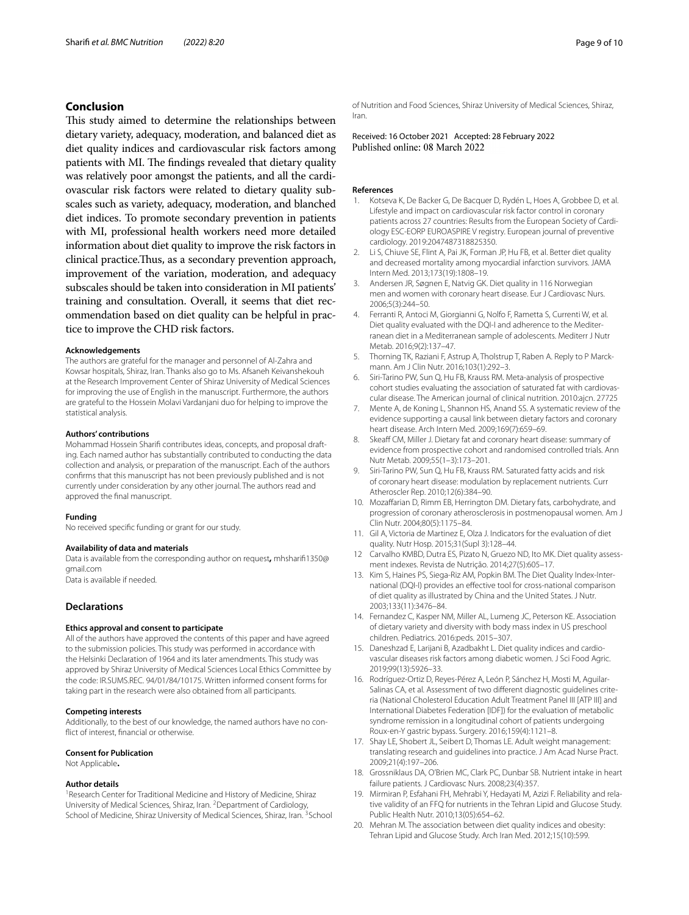## **Conclusion**

This study aimed to determine the relationships between dietary variety, adequacy, moderation, and balanced diet as diet quality indices and cardiovascular risk factors among patients with MI. The findings revealed that dietary quality was relatively poor amongst the patients, and all the cardiovascular risk factors were related to dietary quality subscales such as variety, adequacy, moderation, and blanched diet indices. To promote secondary prevention in patients with MI, professional health workers need more detailed information about diet quality to improve the risk factors in clinical practice.Tus, as a secondary prevention approach, improvement of the variation, moderation, and adequacy subscales should be taken into consideration in MI patients' training and consultation. Overall, it seems that diet recommendation based on diet quality can be helpful in practice to improve the CHD risk factors.

#### **Acknowledgements**

The authors are grateful for the manager and personnel of Al-Zahra and Kowsar hospitals, Shiraz, Iran. Thanks also go to Ms. Afsaneh Keivanshekouh at the Research Improvement Center of Shiraz University of Medical Sciences for improving the use of English in the manuscript. Furthermore, the authors are grateful to the Hossein Molavi Vardanjani duo for helping to improve the statistical analysis.

#### **Authors' contributions**

Mohammad Hossein Sharif contributes ideas, concepts, and proposal drafting. Each named author has substantially contributed to conducting the data collection and analysis, or preparation of the manuscript. Each of the authors confrms that this manuscript has not been previously published and is not currently under consideration by any other journal. The authors read and approved the fnal manuscript.

#### **Funding**

No received specifc funding or grant for our study.

#### **Availability of data and materials**

Data is available from the corresponding author on request**,** mhsharif1350@ gmail.com

Data is available if needed.

#### **Declarations**

#### **Ethics approval and consent to participate**

All of the authors have approved the contents of this paper and have agreed to the submission policies. This study was performed in accordance with the Helsinki Declaration of 1964 and its later amendments. This study was approved by Shiraz University of Medical Sciences Local Ethics Committee by the code: IR.SUMS.REC. 94/01/84/10175. Written informed consent forms for taking part in the research were also obtained from all participants.

#### **Competing interests**

Additionally, to the best of our knowledge, the named authors have no confict of interest, fnancial or otherwise.

#### **Consent for Publication**

Not Applicable**.**

#### **Author details**

<sup>1</sup> Research Center for Traditional Medicine and History of Medicine, Shiraz University of Medical Sciences, Shiraz, Iran. <sup>2</sup> Department of Cardiology, School of Medicine, Shiraz University of Medical Sciences, Shiraz, Iran. <sup>3</sup> School of Nutrition and Food Sciences, Shiraz University of Medical Sciences, Shiraz, Iran.

Received: 16 October 2021 Accepted: 28 February 2022<br>Published online: 08 March 2022

#### **References**

- <span id="page-8-0"></span>1. Kotseva K, De Backer G, De Bacquer D, Rydén L, Hoes A, Grobbee D, et al. Lifestyle and impact on cardiovascular risk factor control in coronary patients across 27 countries: Results from the European Society of Cardiology ESC-EORP EUROASPIRE V registry. European journal of preventive cardiology. 2019:2047487318825350.
- <span id="page-8-1"></span>2. Li S, Chiuve SE, Flint A, Pai JK, Forman JP, Hu FB, et al. Better diet quality and decreased mortality among myocardial infarction survivors. JAMA Intern Med. 2013;173(19):1808–19.
- <span id="page-8-2"></span>3. Andersen JR, Søgnen E, Natvig GK. Diet quality in 116 Norwegian men and women with coronary heart disease. Eur J Cardiovasc Nurs. 2006;5(3):244–50.
- <span id="page-8-3"></span>4. Ferranti R, Antoci M, Giorgianni G, Nolfo F, Rametta S, Currenti W, et al. Diet quality evaluated with the DQI-I and adherence to the Mediterranean diet in a Mediterranean sample of adolescents. Mediterr J Nutr Metab. 2016;9(2):137–47.
- <span id="page-8-4"></span>5. Thorning TK, Raziani F, Astrup A, Tholstrup T, Raben A. Reply to P Marckmann. Am J Clin Nutr. 2016;103(1):292–3.
- <span id="page-8-5"></span>6. Siri-Tarino PW, Sun Q, Hu FB, Krauss RM. Meta-analysis of prospective cohort studies evaluating the association of saturated fat with cardiovascular disease. The American journal of clinical nutrition. 2010:ajcn. 27725
- 7. Mente A, de Koning L, Shannon HS, Anand SS. A systematic review of the evidence supporting a causal link between dietary factors and coronary heart disease. Arch Intern Med. 2009;169(7):659–69.
- <span id="page-8-6"></span>8. Skeaff CM, Miller J. Dietary fat and coronary heart disease: summary of evidence from prospective cohort and randomised controlled trials. Ann Nutr Metab. 2009;55(1–3):173–201.
- <span id="page-8-7"></span>9. Siri-Tarino PW, Sun Q, Hu FB, Krauss RM. Saturated fatty acids and risk of coronary heart disease: modulation by replacement nutrients. Curr Atheroscler Rep. 2010;12(6):384–90.
- <span id="page-8-8"></span>10. Mozafarian D, Rimm EB, Herrington DM. Dietary fats, carbohydrate, and progression of coronary atherosclerosis in postmenopausal women. Am J Clin Nutr. 2004;80(5):1175–84.
- <span id="page-8-9"></span>11. Gil A, Victoria de Martinez E, Olza J. Indicators for the evaluation of diet quality. Nutr Hosp. 2015;31(Supl 3):128–44.
- <span id="page-8-10"></span>12 Carvalho KMBD, Dutra ES, Pizato N, Gruezo ND, Ito MK. Diet quality assessment indexes. Revista de Nutrição. 2014;27(5):605–17.
- <span id="page-8-12"></span>13. Kim S, Haines PS, Siega-Riz AM, Popkin BM. The Diet Quality Index-International (DQI-I) provides an efective tool for cross-national comparison of diet quality as illustrated by China and the United States. J Nutr. 2003;133(11):3476–84.
- <span id="page-8-11"></span>14. Fernandez C, Kasper NM, Miller AL, Lumeng JC, Peterson KE. Association of dietary variety and diversity with body mass index in US preschool children. Pediatrics. 2016:peds. 2015–307.
- <span id="page-8-13"></span>15. Daneshzad E, Larijani B, Azadbakht L. Diet quality indices and cardiovascular diseases risk factors among diabetic women. J Sci Food Agric. 2019;99(13):5926–33.
- <span id="page-8-14"></span>16. Rodríguez-Ortiz D, Reyes-Pérez A, León P, Sánchez H, Mosti M, Aguilar-Salinas CA, et al. Assessment of two diferent diagnostic guidelines criteria (National Cholesterol Education Adult Treatment Panel III [ATP III] and International Diabetes Federation [IDF]) for the evaluation of metabolic syndrome remission in a longitudinal cohort of patients undergoing Roux-en-Y gastric bypass. Surgery. 2016;159(4):1121–8.
- <span id="page-8-15"></span>17. Shay LE, Shobert JL, Seibert D, Thomas LE. Adult weight management: translating research and guidelines into practice. J Am Acad Nurse Pract. 2009;21(4):197–206.
- <span id="page-8-16"></span>18. Grossniklaus DA, O'Brien MC, Clark PC, Dunbar SB. Nutrient intake in heart failure patients. J Cardiovasc Nurs. 2008;23(4):357.
- <span id="page-8-17"></span>19. Mirmiran P, Esfahani FH, Mehrabi Y, Hedayati M, Azizi F. Reliability and relative validity of an FFQ for nutrients in the Tehran Lipid and Glucose Study. Public Health Nutr. 2010;13(05):654–62.
- <span id="page-8-18"></span>20. Mehran M. The association between diet quality indices and obesity: Tehran Lipid and Glucose Study. Arch Iran Med. 2012;15(10):599.